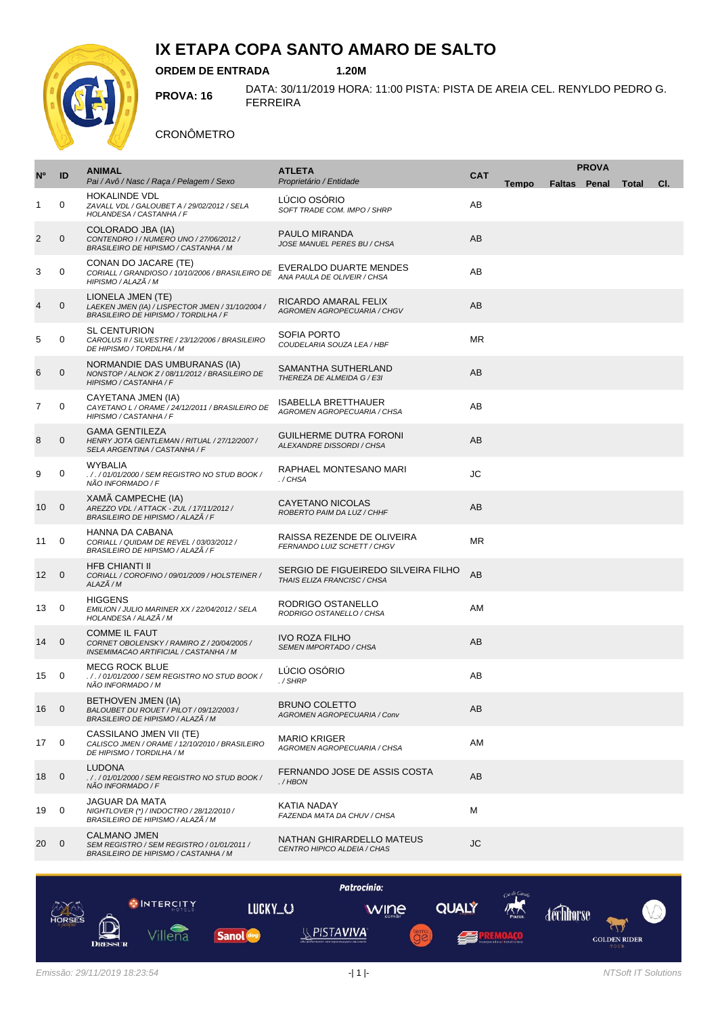

# **IX ETAPA COPA SANTO AMARO DE SALTO**

**ORDEM DE ENTRADA 1.20M**

**PROVA: 16** DATA: 30/11/2019 HORA: 11:00 PISTA: PISTA DE AREIA CEL. RENYLDO PEDRO G. FERREIRA

#### CRONÔMETRO

|                   |                | <b>ANIMAL</b>                                                                                                 | <b>ATLETA</b>                                                      | <b>PROVA</b> |              |  |  |                    |     |
|-------------------|----------------|---------------------------------------------------------------------------------------------------------------|--------------------------------------------------------------------|--------------|--------------|--|--|--------------------|-----|
| $N^{\circ}$       | ID             | Pai / Avô / Nasc / Raça / Pelagem / Sexo                                                                      | Proprietário / Entidade                                            | <b>CAT</b>   | <b>Tempo</b> |  |  | Faltas Penal Total | CI. |
| 1                 | 0              | <b>HOKALINDE VDL</b><br>ZAVALL VDL / GALOUBET A / 29/02/2012 / SELA<br>HOLANDESA / CASTANHA / F               | LÚCIO OSÓRIO<br>SOFT TRADE COM. IMPO / SHRP                        | AB           |              |  |  |                    |     |
| $\overline{c}$    | $\mathbf{0}$   | COLORADO JBA (IA)<br>CONTENDRO I / NUMERO UNO / 27/06/2012 /<br>BRASILEIRO DE HIPISMO / CASTANHA / M          | PAULO MIRANDA<br>JOSE MANUEL PERES BU / CHSA                       | AB           |              |  |  |                    |     |
| 3                 | 0              | CONAN DO JACARE (TE)<br>CORIALL / GRANDIOSO / 10/10/2006 / BRASILEIRO DE<br>HIPISMO / ALAZÃ / M               | EVERALDO DUARTE MENDES<br>ANA PAULA DE OLIVEIR / CHSA              | AB           |              |  |  |                    |     |
| 4                 | 0              | LIONELA JMEN (TE)<br>LAEKEN JMEN (IA) / LISPECTOR JMEN / 31/10/2004 /<br>BRASILEIRO DE HIPISMO / TORDILHA / F | RICARDO AMARAL FELIX<br>AGROMEN AGROPECUARIA / CHGV                | AB           |              |  |  |                    |     |
| 5                 | 0              | <b>SL CENTURION</b><br>CAROLUS II / SILVESTRE / 23/12/2006 / BRASILEIRO<br>DE HIPISMO / TORDILHA / M          | <b>SOFIA PORTO</b><br>COUDELARIA SOUZA LEA / HBF                   | <b>MR</b>    |              |  |  |                    |     |
| 6                 | 0              | NORMANDIE DAS UMBURANAS (IA)<br>NONSTOP / ALNOK Z / 08/11/2012 / BRASILEIRO DE<br>HIPISMO / CASTANHA / F      | SAMANTHA SUTHERLAND<br>THEREZA DE ALMEIDA G / E3I                  | AB           |              |  |  |                    |     |
| 7                 | 0              | CAYETANA JMEN (IA)<br>CAYETANO L / ORAME / 24/12/2011 / BRASILEIRO DE<br>HIPISMO / CASTANHA / F               | <b>ISABELLA BRETTHAUER</b><br>AGROMEN AGROPECUARIA / CHSA          | AB           |              |  |  |                    |     |
| 8                 | 0              | <b>GAMA GENTILEZA</b><br>HENRY JOTA GENTLEMAN / RITUAL / 27/12/2007 /<br>SELA ARGENTINA / CASTANHA / F        | <b>GUILHERME DUTRA FORONI</b><br>ALEXANDRE DISSORDI / CHSA         | AB           |              |  |  |                    |     |
| 9                 | 0              | <b>WYBALIA</b><br>././01/01/2000/SEM REGISTRO NO STUD BOOK/<br>NÃO INFORMADO / F                              | RAPHAEL MONTESANO MARI<br>./CHSA                                   | JС           |              |  |  |                    |     |
| 10                | $\mathbf 0$    | XAMÃ CAMPECHE (IA)<br>AREZZO VDL / ATTACK - ZUL / 17/11/2012 /<br>BRASILEIRO DE HIPISMO / ALAZÃ / F           | <b>CAYETANO NICOLAS</b><br>ROBERTO PAIM DA LUZ / CHHF              | AB           |              |  |  |                    |     |
| 11                | 0              | HANNA DA CABANA<br>CORIALL / QUIDAM DE REVEL / 03/03/2012 /<br>BRASILEIRO DE HIPISMO / ALAZÃ / F              | RAISSA REZENDE DE OLIVEIRA<br>FERNANDO LUIZ SCHETT / CHGV          | <b>MR</b>    |              |  |  |                    |     |
| $12 \overline{ }$ | $\mathbf 0$    | <b>HFB CHIANTI II</b><br>CORIALL / COROFINO / 09/01/2009 / HOLSTEINER /<br>ALAZÃ / M                          | SERGIO DE FIGUEIREDO SILVEIRA FILHO<br>THAIS ELIZA FRANCISC / CHSA | AB           |              |  |  |                    |     |
| 13                | 0              | <b>HIGGENS</b><br>EMILION / JULIO MARINER XX / 22/04/2012 / SELA<br>HOLANDESA / ALAZÃ / M                     | RODRIGO OSTANELLO<br>RODRIGO OSTANELLO / CHSA                      | AM           |              |  |  |                    |     |
| 14                | $\mathbf{0}$   | <b>COMME IL FAUT</b><br>CORNET OBOLENSKY / RAMIRO Z / 20/04/2005 /<br>INSEMIMACAO ARTIFICIAL / CASTANHA / M   | <b>IVO ROZA FILHO</b><br>SEMEN IMPORTADO / CHSA                    | AB           |              |  |  |                    |     |
| 15                | 0              | <b>MECG ROCK BLUE</b><br>././01/01/2000/SEM REGISTRO NO STUD BOOK/<br>NÃO INFORMADO / M                       | LÚCIO OSÓRIO<br>./SHRP                                             | AB           |              |  |  |                    |     |
| 16                | $\overline{0}$ | BETHOVEN JMEN (IA)<br>BALOUBET DU ROUET / PILOT / 09/12/2003 /<br>BRASILEIRO DE HIPISMO / ALAZÃ / M           | <b>BRUNO COLETTO</b><br>AGROMEN AGROPECUARIA / Conv                | AB           |              |  |  |                    |     |
| 17                | 0              | CASSILANO JMEN VII (TE)<br>CALISCO JMEN / ORAME / 12/10/2010 / BRASILEIRO<br>DE HIPISMO / TORDILHA / M        | <b>MARIO KRIGER</b><br>AGROMEN AGROPECUARIA / CHSA                 | AM           |              |  |  |                    |     |
| 18                | $\mathbf 0$    | <b>LUDONA</b><br>././01/01/2000/SEM REGISTRO NO STUD BOOK/<br>NÃO INFORMADO / F                               | FERNANDO JOSE DE ASSIS COSTA<br>$./H$ BON                          | AB           |              |  |  |                    |     |
| 19                | $\mathbf{0}$   | <b>JAGUAR DA MATA</b><br>NIGHTLOVER (*) / INDOCTRO / 28/12/2010 /<br>BRASILEIRO DE HIPISMO / ALAZÃ / M        | KATIA NADAY<br>FAZENDA MATA DA CHUV / CHSA                         | м            |              |  |  |                    |     |
| 20                | $\mathbf 0$    | <b>CALMANO JMEN</b><br>SEM REGISTRO / SEM REGISTRO / 01/01/2011 /<br>BRASILEIRO DE HIPISMO / CASTANHA / M     | NATHAN GHIRARDELLO MATEUS<br>CENTRO HIPICO ALDEIA / CHAS           | JC           |              |  |  |                    |     |

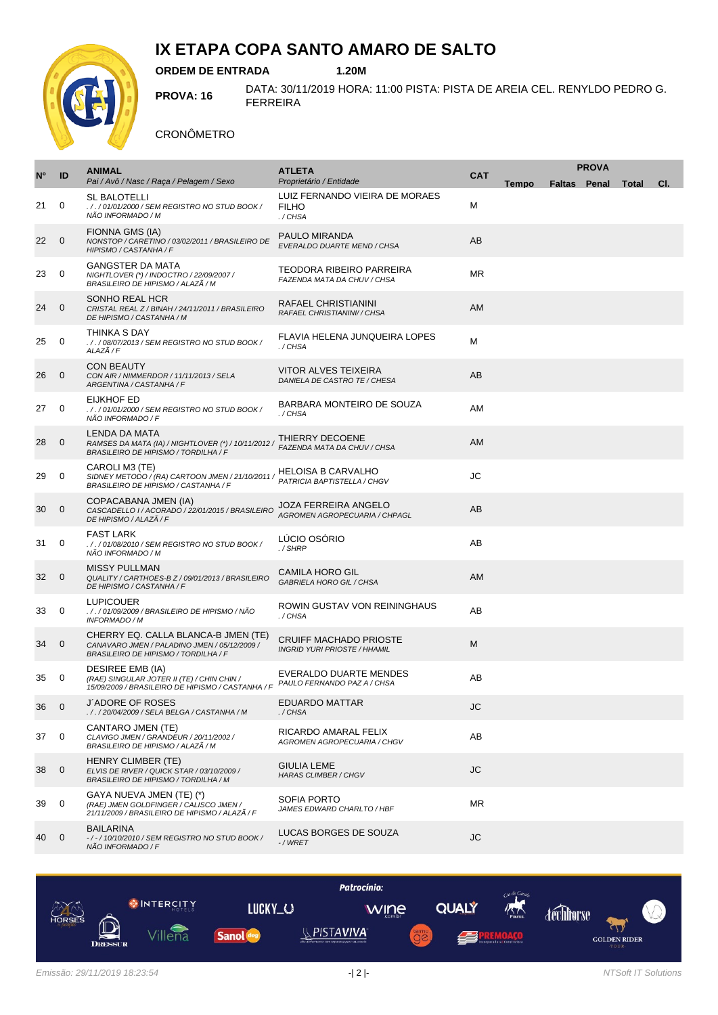

# **IX ETAPA COPA SANTO AMARO DE SALTO**

**ORDEM DE ENTRADA 1.20M**

**PROVA: 16** DATA: 30/11/2019 HORA: 11:00 PISTA: PISTA DE AREIA CEL. RENYLDO PEDRO G. FERREIRA

#### CRONÔMETRO

|             |                | <b>ANIMAL</b><br><b>ATLETA</b>                                                                                              |                                                                      | <b>PROVA</b> |              |  |                           |  |     |
|-------------|----------------|-----------------------------------------------------------------------------------------------------------------------------|----------------------------------------------------------------------|--------------|--------------|--|---------------------------|--|-----|
| $N^{\circ}$ | ID             | Pai / Avô / Nasc / Raça / Pelagem / Sexo                                                                                    | Proprietário / Entidade                                              | <b>CAT</b>   | <b>Tempo</b> |  | <b>Faltas Penal Total</b> |  | CI. |
| 21          | 0              | SL BALOTELLI<br>././01/01/2000/SEM REGISTRO NO STUD BOOK/<br>NÃO INFORMADO / M                                              | LUIZ FERNANDO VIEIRA DE MORAES<br><b>FILHO</b><br>./CHSA             | М            |              |  |                           |  |     |
| 22          | 0              | FIONNA GMS (IA)<br>NONSTOP / CARETINO / 03/02/2011 / BRASILEIRO DE<br>HIPISMO / CASTANHA / F                                | PAULO MIRANDA<br>EVERALDO DUARTE MEND / CHSA                         | AB           |              |  |                           |  |     |
| 23          | 0              | <b>GANGSTER DA MATA</b><br>NIGHTLOVER (*) / INDOCTRO / 22/09/2007 /<br>BRASILEIRO DE HIPISMO / ALAZÃ / M                    | TEODORA RIBEIRO PARREIRA<br>FAZENDA MATA DA CHUV / CHSA              | ΜR           |              |  |                           |  |     |
| 24          | $\mathbf 0$    | SONHO REAL HCR<br>CRISTAL REAL Z / BINAH / 24/11/2011 / BRASILEIRO<br>DE HIPISMO / CASTANHA / M                             | RAFAEL CHRISTIANINI<br>RAFAEL CHRISTIANINI// CHSA                    | <b>AM</b>    |              |  |                           |  |     |
| 25          | 0              | THINKA S DAY<br>././08/07/2013/SEM REGISTRO NO STUD BOOK/<br>ALAZÃ / F                                                      | FLAVIA HELENA JUNQUEIRA LOPES<br>./CHSA                              | м            |              |  |                           |  |     |
| 26          | $\mathbf{0}$   | <b>CON BEAUTY</b><br>CON AIR / NIMMERDOR / 11/11/2013 / SELA<br>ARGENTINA / CASTANHA / F                                    | <b>VITOR ALVES TEIXEIRA</b><br>DANIELA DE CASTRO TE / CHESA          | AB           |              |  |                           |  |     |
| 27          | 0              | <b>EIJKHOF ED</b><br>././01/01/2000/SEM REGISTRO NO STUD BOOK/<br>NÃO INFORMADO / F                                         | BARBARA MONTEIRO DE SOUZA<br>./CHSA                                  | AM           |              |  |                           |  |     |
| 28          | 0              | LENDA DA MATA<br>RAMSES DA MATA (IA) / NIGHTLOVER (*) / 10/11/2012 /<br>BRASILEIRO DE HIPISMO / TORDILHA / F                | THIERRY DECOENE<br>FAZENDA MATA DA CHUV / CHSA                       | AM           |              |  |                           |  |     |
| 29          | 0              | CAROLI M3 (TE)<br>SIDNEY METODO / (RA) CARTOON JMEN / 21/10/2011 /<br>BRASILEIRO DE HIPISMO / CASTANHA / F                  | <b>HELOISA B CARVALHO</b><br>PATRICIA BAPTISTELLA / CHGV             | JС           |              |  |                           |  |     |
| 30          | 0              | COPACABANA JMEN (IA)<br>CASCADELLO I / ACORADO / 22/01/2015 / BRASILEIRO<br>DE HIPISMO / ALAZÃ / F                          | JOZA FERREIRA ANGELO<br>AGROMEN AGROPECUARIA / CHPAGL                | AB           |              |  |                           |  |     |
| 31          | 0              | <b>FAST LARK</b><br>././01/08/2010/SEM REGISTRO NO STUD BOOK/<br>NÃO INFORMADO / M                                          | LÚCIO OSÓRIO<br>./SHRP                                               | AB           |              |  |                           |  |     |
| 32          | $\overline{0}$ | <b>MISSY PULLMAN</b><br>QUALITY / CARTHOES-B Z / 09/01/2013 / BRASILEIRO<br>DE HIPISMO / CASTANHA / F                       | CAMILA HORO GIL<br>GABRIELA HORO GIL / CHSA                          | <b>AM</b>    |              |  |                           |  |     |
| 33          | 0              | <b>LUPICOUER</b><br>. / . / 01/09/2009 / BRASILEIRO DE HIPISMO / NÃO<br>INFORMADO / M                                       | ROWIN GUSTAV VON REININGHAUS<br>./CHSA                               | AB           |              |  |                           |  |     |
| 34          | $\mathbf{0}$   | CHERRY EQ. CALLA BLANCA-B JMEN (TE)<br>CANAVARO JMEN / PALADINO JMEN / 05/12/2009 /<br>BRASILEIRO DE HIPISMO / TORDILHA / F | <b>CRUIFF MACHADO PRIOSTE</b><br><b>INGRID YURI PRIOSTE / HHAMIL</b> | М            |              |  |                           |  |     |
| 35          | 0              | <b>DESIREE EMB (IA)</b><br>(RAE) SINGULAR JOTER II (TE) / CHIN CHIN /<br>15/09/2009 / BRASILEIRO DE HIPISMO / CASTANHA / F  | EVERALDO DUARTE MENDES<br>PAULO FERNANDO PAZ A / CHSA                | AВ           |              |  |                           |  |     |
| 36          | $\overline{0}$ | J'ADORE OF ROSES<br>././20/04/2009 / SELA BELGA / CASTANHA / M                                                              | <b>EDUARDO MATTAR</b><br>./CHSA                                      | JC           |              |  |                           |  |     |
| 37          | 0              | CANTARO JMEN (TE)<br>CLAVIGO JMEN / GRANDEUR / 20/11/2002 /<br>BRASILEIRO DE HIPISMO / ALAZÃ / M                            | RICARDO AMARAL FELIX<br>AGROMEN AGROPECUARIA / CHGV                  | AB           |              |  |                           |  |     |
| 38          | 0              | <b>HENRY CLIMBER (TE)</b><br>ELVIS DE RIVER / QUICK STAR / 03/10/2009 /<br>BRASILEIRO DE HIPISMO / TORDILHA / M             | <b>GIULIA LEME</b><br><b>HARAS CLIMBER / CHGV</b>                    | JС           |              |  |                           |  |     |
| 39          | 0              | GAYA NUEVA JMEN (TE) (*)<br>(RAE) JMEN GOLDFINGER / CALISCO JMEN /<br>21/11/2009 / BRASILEIRO DE HIPISMO / ALAZÃ / F        | SOFIA PORTO<br>JAMES EDWARD CHARLTO / HBF                            | ΜR           |              |  |                           |  |     |
| 40          | $\mathbf{0}$   | <b>BAILARINA</b><br>-/-/10/10/2010 / SEM REGISTRO NO STUD BOOK /<br>NÃO INFORMADO / F                                       | LUCAS BORGES DE SOUZA<br>$-$ / WRET                                  | JC           |              |  |                           |  |     |

|        |                                      |           |                  | Patrocínio:                                                        |      |              | Cia do Cavale             |           |                                            |  |
|--------|--------------------------------------|-----------|------------------|--------------------------------------------------------------------|------|--------------|---------------------------|-----------|--------------------------------------------|--|
| HORSES |                                      | INTERCITY | .UCKY.<br>$\cup$ |                                                                    | wine | <b>QUALY</b> | М<br>$\sqrt{\frac{1}{n}}$ | déchhorse |                                            |  |
|        | $\hat{\mathbb{D}}$<br><b>DRESSUR</b> | lena      | <b>Sanol</b>     | <b>PISTAVIVA</b><br>alta performance com segurance para seu convie |      | 戸            | Construtora               |           | $\lambda$<br><b>GOLDEN RIDER</b><br>-TOUR- |  |